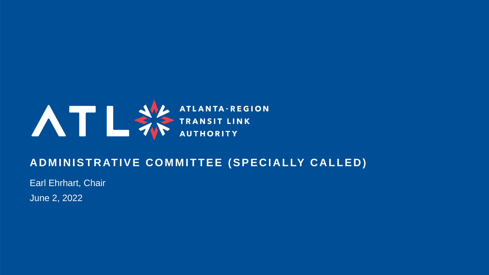

### **ADMINISTRATIVE COMMITTEE (SPECIALLY CALLED)**

Earl Ehrhart, Chair

June 2, 2022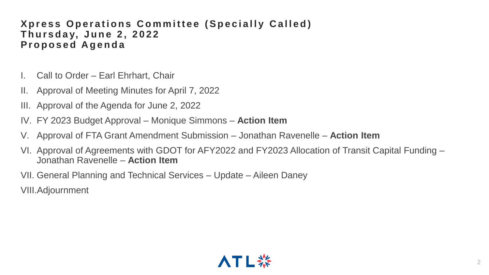### **Xpress Operations Committee (Specially Called) T h u r s d a y, J u n e 2 , 2 0 2 2 P r o p o s e d A g e n d a**

- I. Call to Order Earl Ehrhart, Chair
- II. Approval of Meeting Minutes for April 7, 2022
- III. Approval of the Agenda for June 2, 2022
- IV. FY 2023 Budget Approval Monique Simmons **Action Item**
- V. Approval of FTA Grant Amendment Submission Jonathan Ravenelle **Action Item**
- VI. Approval of Agreements with GDOT for AFY2022 and FY2023 Allocation of Transit Capital Funding Jonathan Ravenelle – **Action Item**
- VII. General Planning and Technical Services Update Aileen Daney
- VIII.Adjournment

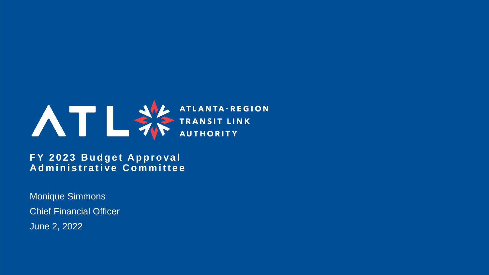

**FY 2023 Budget Approval Administrative Committee** 

Monique Simmons Chief Financial Officer June 2, 2022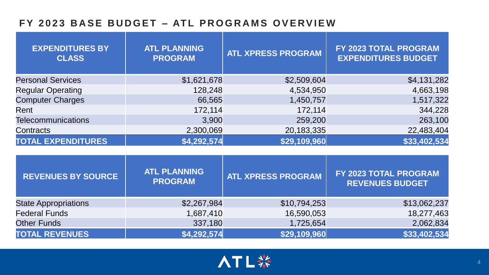### **F Y 2 0 2 3 B A S E B U D G E T – AT L P R O G R A M S O V E RV I E W**

| <b>EXPENDITURES BY</b><br><b>CLASS</b> | <b>ATL PLANNING</b><br><b>PROGRAM</b> | <b>ATL XPRESS PROGRAM</b> | FY 2023 TOTAL PROGRAM<br><b>EXPENDITURES BUDGET</b> |
|----------------------------------------|---------------------------------------|---------------------------|-----------------------------------------------------|
| <b>Personal Services</b>               | \$1,621,678                           | \$2,509,604               | \$4,131,282                                         |
| <b>Regular Operating</b>               | 128,248                               | 4,534,950                 | 4,663,198                                           |
| <b>Computer Charges</b>                | 66,565                                | 1,450,757                 | 1,517,322                                           |
| Rent                                   | 172,114                               | 172,114                   | 344,228                                             |
| <b>Telecommunications</b>              | 3,900                                 | 259,200                   | 263,100                                             |
| Contracts                              | 2,300,069                             | 20,183,335                | 22,483,404                                          |
| <b>TOTAL EXPENDITURES</b>              | \$4,292,574                           | \$29,109,960              | \$33,402,534                                        |

| <b>REVENUES BY SOURCE</b>   | <b>ATL PLANNING</b><br><b>PROGRAM</b> | <b>ATL XPRESS PROGRAM</b> | <b>FY 2023 TOTAL PROGRAM</b><br><b>REVENUES BUDGET</b> |
|-----------------------------|---------------------------------------|---------------------------|--------------------------------------------------------|
| <b>State Appropriations</b> | \$2,267,984                           | \$10,794,253              | \$13,062,237                                           |
| <b>Federal Funds</b>        | 1,687,410                             | 16,590,053                | 18,277,463                                             |
| <b>Other Funds</b>          | 337,180                               | 1,725,654                 | 2,062,834                                              |
| <b>TOTAL REVENUES</b>       | \$4,292,574                           | \$29,109,960              | \$33,402,534                                           |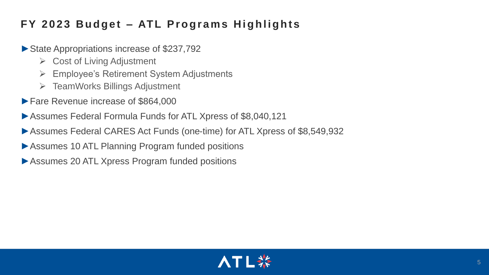### **FY 2023 Budget - ATL Programs Highlights**

- ►State Appropriations increase of \$237,792
	- ➢ Cost of Living Adjustment
	- ➢ Employee's Retirement System Adjustments
	- ➢ TeamWorks Billings Adjustment
- ►Fare Revenue increase of \$864,000
- ►Assumes Federal Formula Funds for ATL Xpress of \$8,040,121
- ►Assumes Federal CARES Act Funds (one-time) for ATL Xpress of \$8,549,932
- ▶ Assumes 10 ATL Planning Program funded positions
- ▶Assumes 20 ATL Xpress Program funded positions

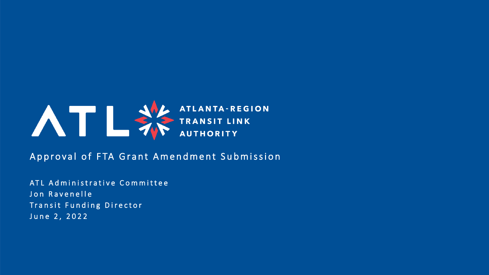

Approval of FTA Grant Amendment Submission

ATL Administrative Committee Jon Ravenelle Transit Funding Director June 2, 2022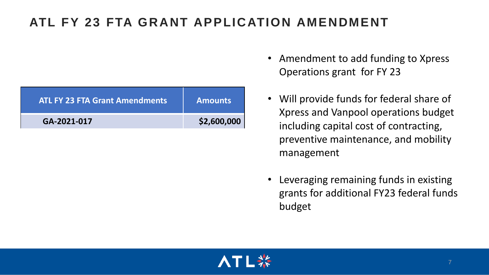### **ATL FY 23 FTA GRANT APPLICATION AMENDMENT**

| <b>ATL FY 23 FTA Grant Amendments</b> | <b>Amounts</b> |
|---------------------------------------|----------------|
| GA-2021-017                           | \$2,600,000    |

- Amendment to add funding to Xpress Operations grant for FY 23
- Will provide funds for federal share of Xpress and Vanpool operations budget including capital cost of contracting, preventive maintenance, and mobility management
- Leveraging remaining funds in existing grants for additional FY23 federal funds budget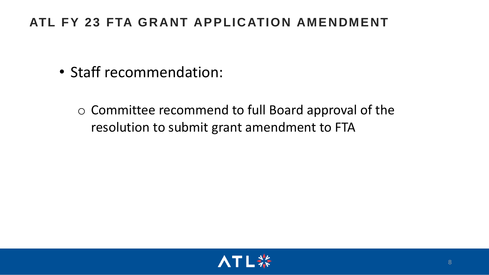### **ATL FY 23 FTA GRANT APPLICATION AMENDMENT**

- Staff recommendation:
	- o Committee recommend to full Board approval of the resolution to submit grant amendment to FTA

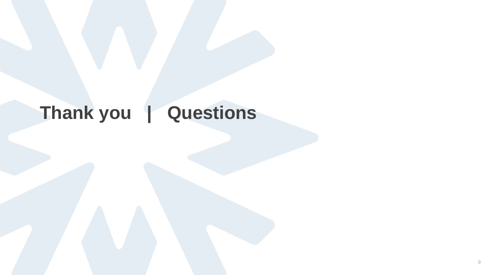# **Thank you | Questions**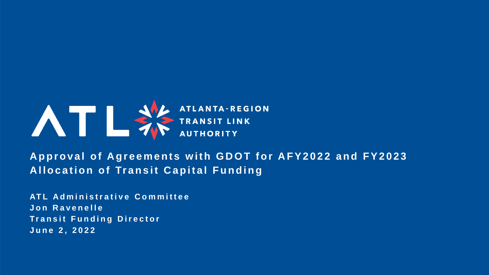

Approval of Agreements with GDOT for AFY2022 and FY2023 **Allocation of Transit Capital Funding** 

**AT L A d m i n i s t r a t i v e C o m m i t t e e J o n R a v e n e l l e Transit Funding Director J u n e 2 , 2 0 2 2**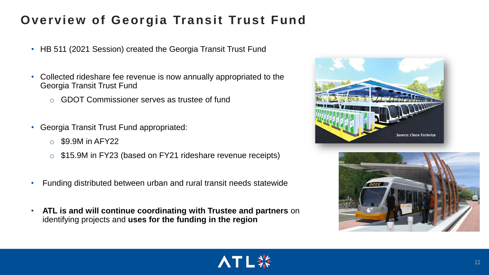### **Overview of Georgia Transit Trust Fund**

- HB 511 (2021 Session) created the Georgia Transit Trust Fund
- Collected rideshare fee revenue is now annually appropriated to the Georgia Transit Trust Fund
	- o GDOT Commissioner serves as trustee of fund
- Georgia Transit Trust Fund appropriated:
	- $\circ$  \$9.9M in AFY22
	- o \$15.9M in FY23 (based on FY21 rideshare revenue receipts)
- Funding distributed between urban and rural transit needs statewide
- **ATL is and will continue coordinating with Trustee and partners** on identifying projects and **uses for the funding in the region**



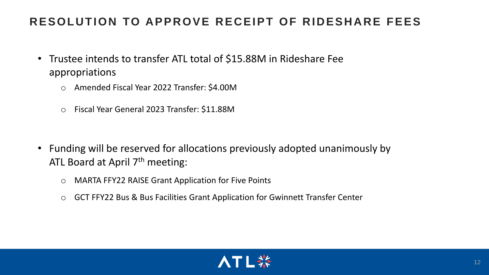### **RESOLUTION TO APPROVE RECEIPT OF RIDESHARE FEES**

- Trustee intends to transfer ATL total of \$15.88M in Rideshare Fee appropriations
	- o Amended Fiscal Year 2022 Transfer: \$4.00M
	- o Fiscal Year General 2023 Transfer: \$11.88M

- Funding will be reserved for allocations previously adopted unanimously by ATL Board at April 7<sup>th</sup> meeting:
	- o MARTA FFY22 RAISE Grant Application for Five Points
	- o GCT FFY22 Bus & Bus Facilities Grant Application for Gwinnett Transfer Center

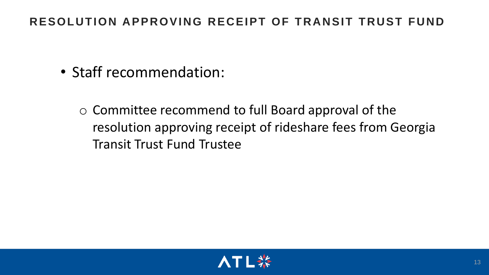### **RESOLUTION APPROVING RECEIPT OF TRANSIT TRUST FUND**

- Staff recommendation:
	- o Committee recommend to full Board approval of the resolution approving receipt of rideshare fees from Georgia Transit Trust Fund Trustee

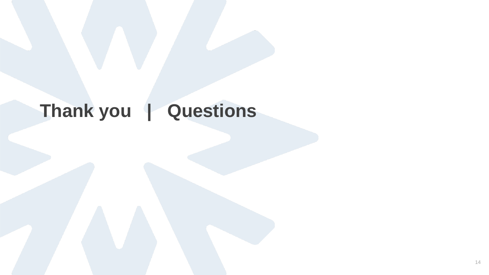## **Thank you | Questions**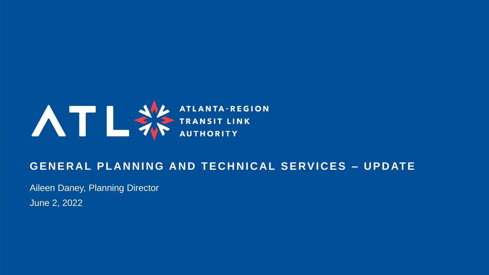

### **GENERAL PLANNING AND TECHNICAL SERVICES – UPDATE**

Aileen Daney, Planning Director

June 2, 2022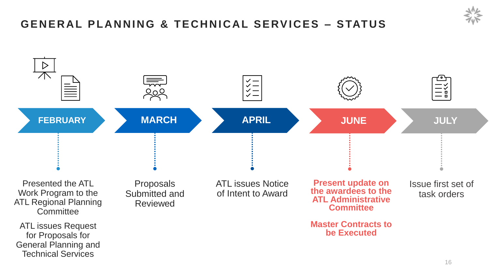### **G E N E R A L P L A N N I N G & T E C H N I C A L S E RV I C E S – S TAT U S**

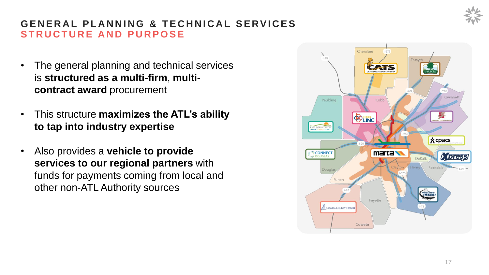

### **GENERAL PLANNING & TECHNICAL SERVICES STRUCTURE AND PURPOSE**

- The general planning and technical services is **structured as a multi-firm**, **multicontract award** procurement
- This structure **maximizes the ATL's ability to tap into industry expertise**
- Also provides a **vehicle to provide services to our regional partners** with funds for payments coming from local and other non-ATL Authority sources

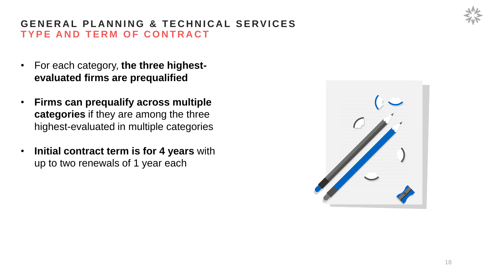### **GENERAL PLANNING & TECHNICAL SERVICES TYPE AND TERM OF CONTRACT**

- For each category, **the three highestevaluated firms are prequalified**
- **Firms can prequalify across multiple categories** if they are among the three highest-evaluated in multiple categories
- **Initial contract term is for 4 years** with up to two renewals of 1 year each

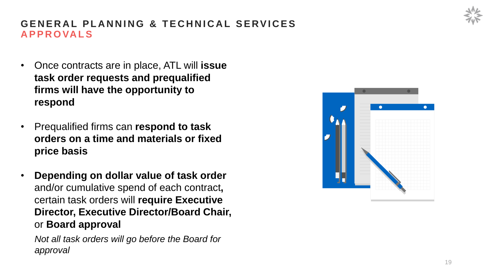### **GENERAL PLANNING & TECHNICAL SERVICES A P P R O VA L S**

- Once contracts are in place, ATL will **issue task order requests and prequalified firms will have the opportunity to respond**
- Prequalified firms can **respond to task orders on a time and materials or fixed price basis**
- **Depending on dollar value of task order**  and/or cumulative spend of each contract**,**  certain task orders will **require Executive Director, Executive Director/Board Chair,**  or **Board approval**

*Not all task orders will go before the Board for approval*

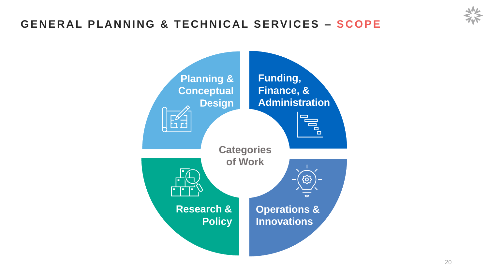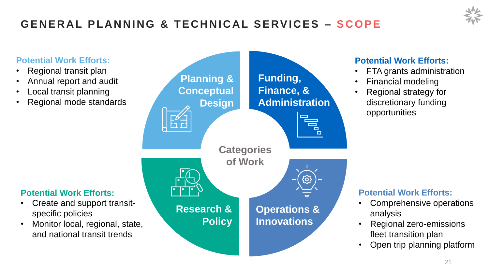### **Potential Work Efforts:** • Regional transit plan • Annual report and audit • Local transit planning • Regional mode standards **Planning & Conceptual Design Funding, Finance, & Administration Operations & Innovations Research & Policy Categories of Work Potential Work Efforts:** • Create and support transitspecific policies • Monitor local, regional, state, and national transit trends **Potential Work Efforts:** • FTA grants administration • Financial modeling • Regional strategy for discretionary funding opportunities **Potential Work Efforts:** • Comprehensive operations analysis • Regional zero-emissions fleet transition plan

• Open trip planning platform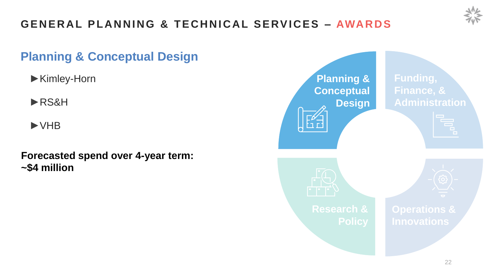

### **Planning & Conceptual Design**

- ►Kimley-Horn
- ►RS&H
- ►VHB

### **Forecasted spend over 4-year term: ~\$4 million**

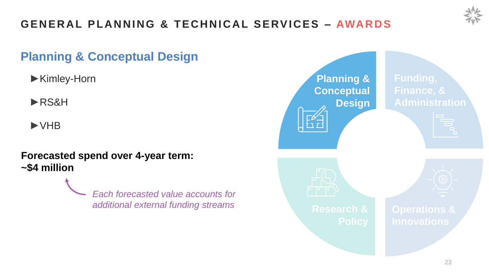

### **Planning & Conceptual Design**

- ►Kimley-Horn
- ►RS&H
- ►VHB

### **Forecasted spend over 4-year term: ~\$4 million**

*Each forecasted value accounts for additional external funding streams*

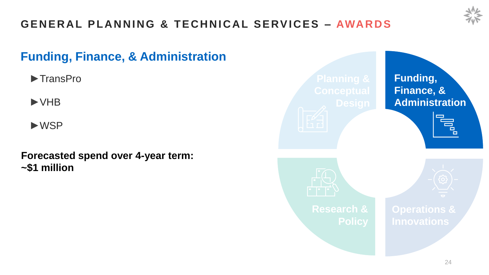

### **Funding, Finance, & Administration**

►TransPro

►VHB

►WSP

### **Forecasted spend over 4-year term: ~\$1 million**

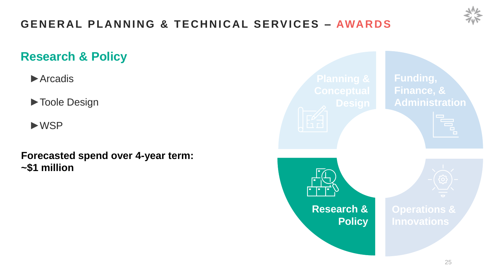

### **Research & Policy**

►Arcadis

►Toole Design

►WSP

**Forecasted spend over 4-year term: ~\$1 million**

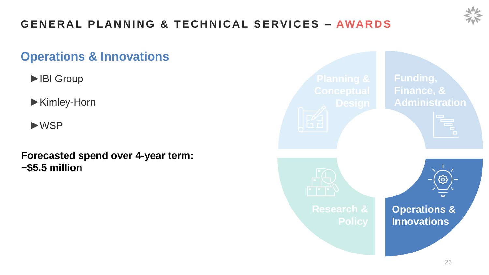

### **Operations & Innovations**

- ►IBI Group
- ►Kimley-Horn
- ►WSP
- **Forecasted spend over 4-year term: ~\$5.5 million**

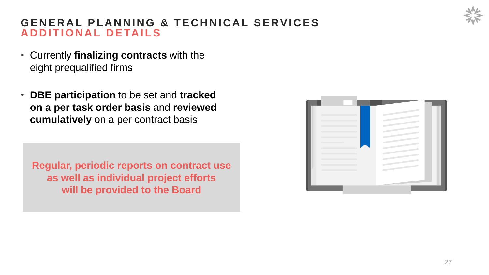### **GENERAL PLANNING & TECHNICAL SERVICES ADDITIONAL DETAILS**

- Currently **finalizing contracts** with the eight prequalified firms
- **DBE participation** to be set and **tracked on a per task order basis** and **reviewed cumulatively** on a per contract basis

**Regular, periodic reports on contract use as well as individual project efforts will be provided to the Board**